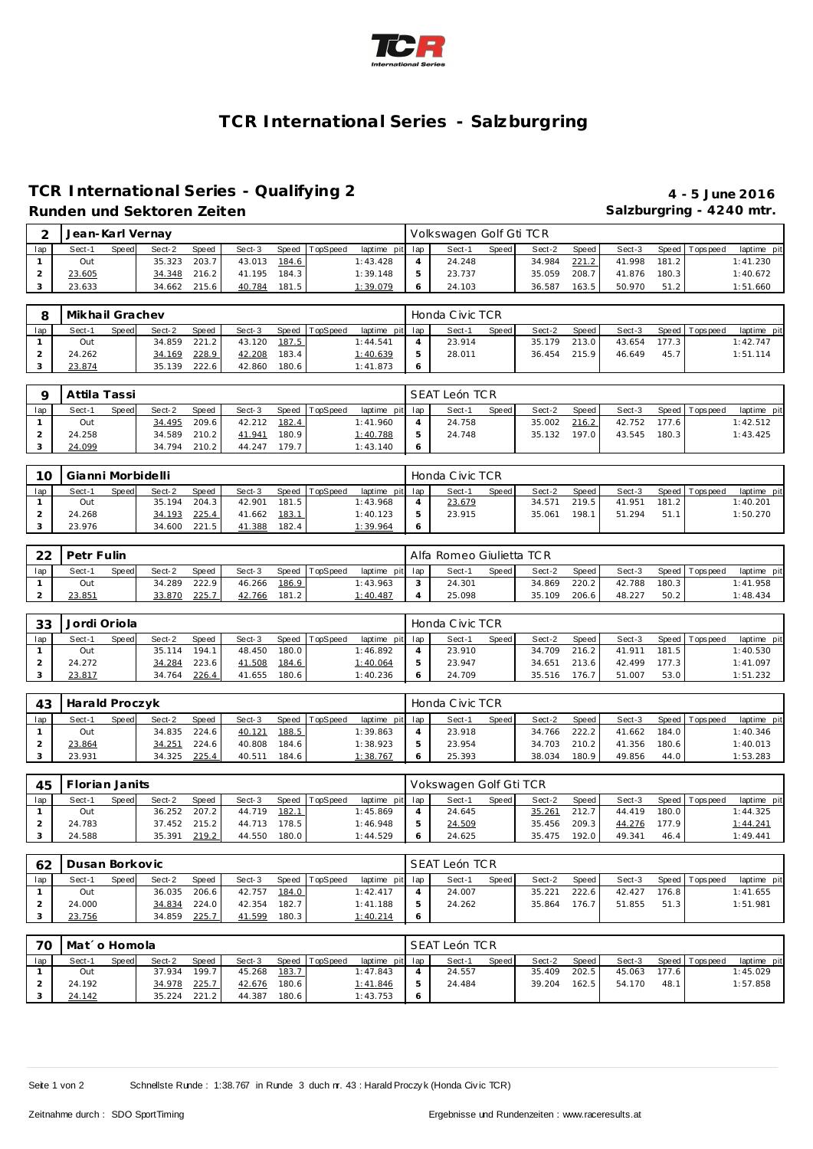

# **TCR International Series - Salzburgring**

### **TCR International Series - Qualifying 2 4 - 5 June 2016 Runden und Sektoren Zeiten Salzburgring - 4240 mtr.**

|     | $\sim$ | Jean-Karl Vernay |       |        |       |        |       |                |                 | Volkswagen Golf Gti TCR |       |        |       |        |       |                   |             |
|-----|--------|------------------|-------|--------|-------|--------|-------|----------------|-----------------|-------------------------|-------|--------|-------|--------|-------|-------------------|-------------|
| lap |        | Sect-1           | Speed | Sect-2 | Speed | Sect-3 |       | Speed TopSpeed | laptime pit lap | Sect-1                  | Speed | Sect-2 | Speed | Sect-3 |       | Speed   Tops peed | laptime pit |
|     |        | Out              |       | 35.323 | 203.7 | 43.013 | 184.6 |                | 1:43.428        | 24.248                  |       | 34.984 | 221.2 | 41.998 | 181.2 |                   | 1:41.230    |
|     |        | 23.605           |       | 34.348 | 216.2 | 41.195 | 184.3 |                | 1:39.148        | 23.737                  |       | 35.059 | 208.7 | 41.876 | 180.3 |                   | 1:40.672    |
|     |        | 23.633           |       | 34.662 | 215.6 | 40.784 | 181.5 |                | 1:39.079        | 24.103                  |       | 36.587 | 163.5 | 50.970 | 51.2  |                   | 1:51.660    |

|     | Mikhail Grachev |       |        |       |        |       |                |             |     | Honda Civic TCR |       |        |       |        |       |                   |             |
|-----|-----------------|-------|--------|-------|--------|-------|----------------|-------------|-----|-----------------|-------|--------|-------|--------|-------|-------------------|-------------|
| lap | Sect-1          | Speed | Sect-2 | Speed | Sect-3 |       | Speed TopSpeed | laptime pit | lap | Sect-1          | Speed | Sect-2 | Speed | Sect-3 |       | Speed   Tops peed | laptime pit |
|     | Out             |       | 34.859 | 221.2 | 43.120 | 187.5 |                | 1:44.541    |     | 23.914          |       | 35.179 | 213.0 | 43.654 | 177.3 |                   | 1:42.747    |
|     | 24.262          |       | 34.169 | 228.9 | 42.208 | 183.4 |                | 1:40.639    | 5   | 28.011          |       | 36.454 | 215.9 | 46.649 | 45.7  |                   | 1:51.114    |
|     | 23.874          |       | 35.139 | 222.6 | 42.860 | 180.6 |                | 1:41.873    |     |                 |       |        |       |        |       |                   |             |

|     | Attila Tassi |              |        |       |        |       |                |                 | SEAT León TCR |       |        |       |        |       |                 |             |
|-----|--------------|--------------|--------|-------|--------|-------|----------------|-----------------|---------------|-------|--------|-------|--------|-------|-----------------|-------------|
| lap | Sect-1       | <b>Speed</b> | Sect-2 | Speed | Sect-3 |       | Speed TopSpeed | laptime pit lap | Sect-1        | Speed | Sect-2 | Speed | Sect-3 |       | Speed Tops peed | laptime pit |
|     | Out          |              | 34.495 | 209.6 | 42.212 | 182.4 |                | 1:41.960        | 24.758        |       | 35.002 | 216.2 | 42.752 | 177.6 |                 | 1:42.512    |
|     | 24.258       |              | 34.589 | 210.2 | 41.941 | 180.9 |                | 1:40.788        | 24.748        |       | 35.132 | 197.0 | 43.545 | 180.3 |                 | 1:43.425    |
|     | 24.099       |              | 34.794 | 210.2 | 44.247 | 179.7 |                | 1:43.140        |               |       |        |       |        |       |                 |             |

| 10  | Gianni Morbidelli |              |        |              |        |       |                |                 | Honda Civic TCR |       |        |         |        |       |                 |             |
|-----|-------------------|--------------|--------|--------------|--------|-------|----------------|-----------------|-----------------|-------|--------|---------|--------|-------|-----------------|-------------|
| lap | Sect-1            | <b>Speed</b> | Sect-2 | Speed        | Sect-3 |       | Speed TopSpeed | laptime pit lap | Sect-1          | Speed | Sect-2 | Speed I | Sect-3 |       | Speed Tops peed | laptime pit |
|     | Out               |              |        | 35.194 204.3 | 42.901 | 181.5 |                | 1:43.968        | 23.679          |       | 34.571 | 219.5   | 41.951 | 181.2 |                 | 1:40.201    |
|     | 24.268            |              | 34.193 | 225.4        | 41.662 | 183.1 |                | 1:40.123        | 23.915          |       | 35.061 | 198.1   | 51.294 | 51.1  |                 | 1:50.270    |
|     | 23.976            |              |        | 34.600 221.5 | 41.388 | 182.4 |                | 1:39.964        |                 |       |        |         |        |       |                 |             |

| ററ  | Petr Fulin |              |        |              |        |       |                |                 | Alfa Romeo Giulietta TCR |       |        |         |        |       |                |             |
|-----|------------|--------------|--------|--------------|--------|-------|----------------|-----------------|--------------------------|-------|--------|---------|--------|-------|----------------|-------------|
| lap | Sect-1     | <b>Speed</b> | Sect-2 | <b>Speed</b> | Sect-3 |       | Speed TopSpeed | laptime pit lap | Sect-1                   | Speed | Sect-2 | Speed I | Sect-3 |       | Speed Topspeed | laptime pit |
|     | Out        |              | 34.289 | 222.9        | 46.266 | 186.9 |                | 1:43.963        | 24.301                   |       | 34.869 | 220.2   | 42.788 | 180.3 |                | 1:41.958    |
|     | 23.851     |              | 33.870 | 225.7        | 42.766 | 181.2 |                | 1:40.487        | 25.098                   |       | 35.109 | 206.6   | 48.227 | 50.2  |                | 1:48.434    |

| 33  | Jordi Oriola |              |        |              |        |        |          |                 | Honda Civic TCR |       |        |       |        |       |                 |             |
|-----|--------------|--------------|--------|--------------|--------|--------|----------|-----------------|-----------------|-------|--------|-------|--------|-------|-----------------|-------------|
| lap | Sect-1       | <b>Speed</b> | Sect-2 | <b>Speed</b> | Sect-3 | Speed  | TopSpeed | laptime pit lap | Sect-1          | Speed | Sect-2 | Speed | Sect-3 |       | Speed Tops peed | laptime pit |
|     | Out          |              | 35.114 | 194.1        | 48.450 | 180.0  |          | 1:46.892        | 23.910          |       | 34.709 | 216.2 | 41.911 | 181.5 |                 | 1:40.530    |
|     | 24.272       |              | 34.284 | 223.6        | 41.508 | 184.6  |          | 1:40.064        | 23.947          |       | 34.651 | 213.6 | 42.499 | 177.3 |                 | 1:41.097    |
|     | 23.817       |              | 34.764 | 226.4        | 41.655 | 180.61 |          | 1:40.236        | 24.709          |       | 35.516 | 176.  | 51.007 | 53.0  |                 | 1:51.232    |

| 43  | Harald Proczyk |       |        |              |        |       |                |                 | Honda Civic TCR |       |        |       |        |       |                   |             |
|-----|----------------|-------|--------|--------------|--------|-------|----------------|-----------------|-----------------|-------|--------|-------|--------|-------|-------------------|-------------|
| lap | Sect-1         | Speed | Sect-2 | Speed        | Sect-3 |       | Speed TopSpeed | laptime pit lap | Sect-1          | Speed | Sect-2 | Speed | Sect-3 |       | Speed   Tops peed | laptime pit |
|     | Out            |       |        | 34.835 224.6 | 40.121 | 188.5 |                | 1:39.863        | 23.918          |       | 34.766 | 222.2 | 41.662 | 184.0 |                   | 1:40.346    |
|     | 23.864         |       | 34.251 | 224.61       | 40.808 | 184.6 |                | 1:38.923        | 23.954          |       | 34.703 | 210.2 | 41.356 | 180.6 |                   | 1:40.013    |
|     | 23.931         |       | 34.325 | 225.4        | 40.511 | 184.6 |                | 1:38.767        | 25.393          |       | 38.034 | 180.9 | 49.856 | 44.0  |                   | 1:53.283    |

| 45  | Florian Janits |       |        |              |        |       |                |                 | Vokswagen Golf Gti TCR |       |        |       |        |       |                |             |
|-----|----------------|-------|--------|--------------|--------|-------|----------------|-----------------|------------------------|-------|--------|-------|--------|-------|----------------|-------------|
| lap | Sect-1         | Speed | Sect-2 | <b>Speed</b> | Sect-3 |       | Speed TopSpeed | laptime pit lap | Sect-1                 | Speed | Sect-2 | Speed | Sect-3 |       | Speed Topspeed | laptime pit |
|     | Out            |       | 36.252 | 207.2        | 44.719 | 182.1 |                | 1:45.869        | 24.645                 |       | 35.261 | 212.7 | 44.419 | 180.0 |                | 1:44.325    |
|     | 24.783         |       |        | 37.452 215.2 | 44.713 | 178.5 |                | 1:46.948        | 24.509                 |       | 35.456 | 209.3 | 44.276 | 177.9 |                | 1:44.241    |
|     | 24.588         |       | 35.391 | 219.2        | 44.550 | 180.0 |                | 1:44.529        | 24.625                 |       | 35.475 | 192.0 | 49.341 | 46.4  |                | 1:49.441    |

| 62  | Dusan Borkovic |              |        |              |        |       |          |                 | SEAT León TCR |       |        |       |        |       |                 |             |
|-----|----------------|--------------|--------|--------------|--------|-------|----------|-----------------|---------------|-------|--------|-------|--------|-------|-----------------|-------------|
| lap | Sect-1         | <b>Speed</b> | Sect-2 | <b>Speed</b> | Sect-3 | Speed | TopSpeed | laptime pit lap | Sect-1        | Speed | Sect-2 | Speed | Sect-3 |       | Speed Tops peed | laptime pit |
|     | Out            |              | 36.035 | 206.6        | 42.757 | 184.0 |          | 1:42.417        | 24.007        |       | 35.221 | 222.6 | 42.427 | 176.8 |                 | 1:41.655    |
|     | 24.000         |              | 34.834 | 224.0        | 42.354 | 182.7 |          | 1:41.188        | 24.262        |       | 35.864 | 176.7 | 51.855 | 51.3  |                 | 1:51.981    |
|     | 23.756         |              | 34.859 | 225.7        | 41.599 | 180.3 |          | 1:40.214        |               |       |        |       |        |       |                 |             |

| 70  | Mat´o Homola |       |        |       |        |       |                |                 |               | SEAT León TCR |       |        |       |        |       |                   |             |
|-----|--------------|-------|--------|-------|--------|-------|----------------|-----------------|---------------|---------------|-------|--------|-------|--------|-------|-------------------|-------------|
| lap | Sect-1       | Speed | Sect-2 | Speed | Sect-3 |       | Speed TopSpeed | laptime pit lap |               | Sect-1        | Speed | Sect-2 | Speed | Sect-3 |       | Speed   Tops peed | laptime pit |
|     | Out          |       | 37.934 | 199.7 | 45.268 | 183.7 |                | 1:47.843        |               | 24.557        |       | 35.409 | 202.5 | 45.063 | 177.6 |                   | 1:45.029    |
|     | 24.192       |       | 34.978 | 225.7 | 42.676 | 180.6 |                | 1:41.846        | $\mathcal{D}$ | 24.484        |       | 39.204 | 162.5 | 54.170 | 48.1  |                   | 1:57.858    |
|     | 24.142       |       | 35.224 | 221.2 | 44.387 | 180.6 |                | 1:43.753        | - 6           |               |       |        |       |        |       |                   |             |

Seite 1 von 2 Schnellste Runde : 1:38.767 in Runde 3 duch nr. 43 : Harald Proczy k (Honda Civic TCR)